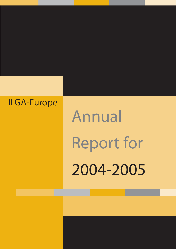### ILGA-Europe

# Annual Report for 2004-2005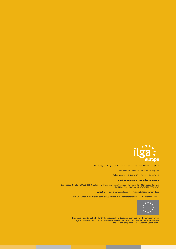

#### **The European Region of the International Lesbian and Gay Association**

avenue de Tervueren 94 1040 Brussels Belgium

**Telephone:** + 32 2 609 54 10 **Fax:** + 32 2 609 54 19

#### **info@ilga-europe.org www.ilga-europe.org**

Bank account # 310-1844088-10 ING Belgium ETT-Cinquantenaire Avenue de Tervueren 10 1040 Brussels Belgium IBAN BE41 3101 8440 8810 BAC (SWIFT): BBRUBEBB

**Layout:** Silja Pogule www.siljadesign.lv **Printer:** Sofadi www.sofadi.be

© ILGA-Europe Reproduction permitted, provided that appropriate reference is made to the source.



This Annual Report is published with the support of the European Commission - The European Union against discrimination. The information contained in this publication does not necessarily reflect the position or opinion of the European Commission.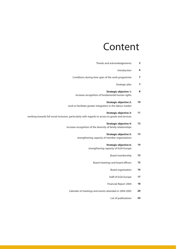## Content

| $\overline{\mathbf{2}}$ | Thanks and acknowledgements                                                                                                       |
|-------------------------|-----------------------------------------------------------------------------------------------------------------------------------|
| 6                       | Introduction                                                                                                                      |
| $\overline{\mathbf{z}}$ | Conditions during time span of the work programme                                                                                 |
| $\overline{7}$          | Strategic plan                                                                                                                    |
| 8                       | <b>Strategic objective 1:</b><br>increase recognition of fundamental human rights                                                 |
| 10                      | <b>Strategic objective 2:</b><br>work to facilitate greater integration in the labour market                                      |
| 11                      | <b>Strategic objective 3:</b><br>working towards full social inclusion, particularly with regards to access to goods and services |
| 12                      | <b>Strategic objective 4:</b><br>increase recognition of the diversity of family relationships                                    |
| 13                      | <b>Strategic objective 5:</b><br>strengthening capacity of member organisations                                                   |
| 14                      | <b>Strategic objective 6:</b><br>strengthening capacity of ILGA-Europe                                                            |
| 15                      | Board membership                                                                                                                  |
| 15                      | Board meetings and board officers                                                                                                 |
| 16                      | Board organisation                                                                                                                |
| 17                      | Staff of ILGA-Europe                                                                                                              |
| 18                      | Financial Report 2004                                                                                                             |
| 20                      | Calendar of meetings and events attended in 2004-2005                                                                             |

**24** List of publications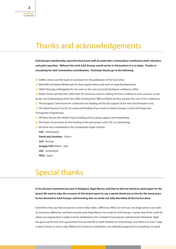### Thanks and acknowledgements

**ILGA-Europe membership, executive board and staff all undertake a tremendous workload in both voluntary and paid capacities. Without this work ILGA-Europe would not be in the position it is in today. Thanks to everybody for their tremendous contributions. Particular thanks go to the following:**

- \* **X** Steffen Jensen and the team of volunteers for the publication of the Euro letter;
- **\*** Mark Bell and Robert Wintemute for their regular advice and work on legal developments;
- \* Háttér Társaság a Melegekért for the work on the very successful Budapest conference 2004;
- **\*** Robert Simon and the Paris 2005 team for enormous work in making the Paris Conference such a success. In par-
- ticular, the fundraising by ILGA Paris 2005, funding from IBM and Marie de Paris towards the cost of the conference;
- **\*** The European Commission for continued core funding and for the support of the Anti-Discrimination Unit;
- **\*** The Sigrid Rausing Trust for its continued funding of our work on Eastern Europe, Council of Europe and Transgender Programmes;
- **\*** OSI New York for the Health Project funding and on-going support and networking;
- \* The Dutch Government for the funding of the joint project with COC on networking;
- **\*** All those who contributed to the Scholarships Angel Scheme:
	- **COC** Netherlands **David and Jonathan** - France **LLH** - Norway **Arcigay COG** (Milan) - Italy **LOS** - Switzerland **FELG** - Spain

### Special thanks

**In his election statement last year in Budapest, Nigel Warner said that he did not intend to stand again for the board. We want to take the occasion of this board report to say a special thank you to him for the many years he has devoted to ILGA-Europe, well knowing that no words can fully described all that he has done.**

Sometimes they say that one person cannot really make a difference. Well, it is not true, one single person can make an enormous difference, and that's exactly what Nigel Warner has made for ILGA-Europe. A great deal of the credit for where our organisation is today must be attributed to him. Instead of enjoying his well deserved retirement, Nigel has given up his time and a good deal of his private life to work tirelessly for ILGA-Europe, very often 6 or even 7 days a week, 8 hours or more a day. Without his immense contribution, his methodical approach to everything, his great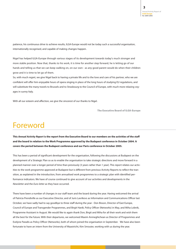patience, his continuous drive to achieve results, ILGA-Europe would not be today such a successful organisation, internationally recognised, and capable of making changes happen.

Nigel has helped ILGA-Europe through various stages of its development towards today's much stronger and more stable position. Now that, thanks to his work, it is time for another step forward, he is letting go of our hands and telling us that we can keep walking on, on our own - as any good parent would do when their children grow and it is time to let go of them.

So, with much regret, we give Nigel back to having a private life and to the love and care of his partner, who we are confident will offer him enjoyable hours of opera singing in place of the long hours of studying EU regulations, and will substitute the many travels to Brussels and to Strasbourg to the Council of Europe, with much more relaxing voyages in sunny Italy.

With all our esteem and affection, we give the sincerest of our thanks to Nigel.

**The Executive Board of ILGA-Europe**

### Foreword

**This** *Annual Activity Report* **is the report from the Executive Board to our members on the activities of the staff and the board in relation to the Work Programme approved by the Budapest conference in October 2004. It covers the period between the Budapest conference and our Paris conference in October 2005.**

This has been a period of significant development for the organisation, following the discussions at Budapest on the development of a Strategic Plan so as to enable the organisation to take strategic directions and move forward in a planned manner over a longer period of time than previously (3 years rather than 1 year). This report relates our activities to the work programme approved at Budapest but is different from previous Activity Reports to reflect the transition, as explained in the introduction, from annualised work programmes to a strategic plan with identified performance indicators. We have of course continued to give account of our activities and developments in the *Newsletter* and the *Euro-letter* as they have occurred.

There have been a number of changes in our staff team and the board during the year. Having welcomed the arrival of Patricia Prendiville as our Executive Director, and of Juris Lavrikovs as Information and Communications Officer last October, we have sadly had to say goodbye to three staff during the year - Don Bisson, Director of East Europe, Council of Europe and Transgender Programmes, and Birgit Hardt, Policy Officer (Networks) in May, and Miha Lobnik, Programme Assistant in August. We would like to again thank Don, Birgit and Miha for all their work and wish them all the best for the future. With their departures, we welcomed Maxim Anmeghichean as Director of Programmes and Evelyne Paradis as Policy Officer (Networks), both of whom joined the organisation in September. We have also been fortunate to have an intern from the University of Maastricht, Kim Smouter, working with us during the year.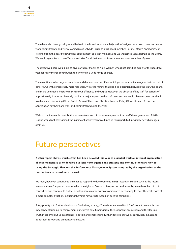There have also been goodbyes and hellos in the Board. In January, Tatjana Grief resigned as a board member due to work commitments, and we welcomed Maya Salvado Ferrer as a full Board member. In June, Maxim Anmeghichean resigned from the Board following his appointment as a staff member, and we welcomed Vanja Hamzic to the Board. We would again like to thank Tatjana and Max for all their work as Board members over a number of years.

The executive board would like to give particular thanks to Nigel Warner, who is not standing again for the board this year, for his immense contribution to our work in a wide range of areas.

There continue to be huge expectations and demands on the office, which performs a similar range of tasks as that of other NGOs with considerably more resources. We are fortunate that good co-operation between the staff, the board, and many volunteers helps to maximise our efficiency and output. However, the absence of key staff for periods of approximately 5 months obviously has had a major impact on the staff team and we would like to express our thanks to all our staff - including Olivier Collet (Admin Officer) and Christine Loudes (Policy Officer, Research) - and our appreciation for their hard work and commitment during the year.

Without the invaluable contribution of volunteers and of our extremely committed staff the organisation of ILGA-Europe would not have gained the significant achievements outlined in this report, but inevitably new challenges await us.

### Future perspectives

**As this report shows, much effort has been devoted this year to essential work on internal organisational development so as to develop our long-term agenda and strategy and continue the transition to using the Strategic Plan and the Performance Management System adopted by the organisation as the mechanisms to co-ordinate its work.** 

We must, however, continue to be ready to respond to developments in LGBT issues in Europe, such as the recent events in three European countries when the rights of freedom of expression and assembly were breached. In this context we will continue to further develop new, creative ways of coordinated networking to meet the challenges of a more complex situation, including thematic networks focussed on specific campaigns.

A key priority is to further develop our fundraising strategy. There is a clear need for ILGA-Europe to secure further independent funding to complement our current core funding from the European Commission and the Rausing Trust, in order to put us in a stronger position and enable us to further develop our work, particularly in East and South East Europe and on transgender issues.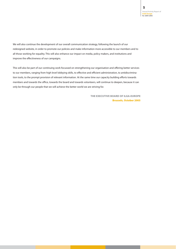We will also continue the development of our overall communication strategy, following the launch of our redesigned website, in order to promote our policies and make information more accessible to our members and to all those working for equality. This will also enhance our impact on media, policy makers, and institutions and improve the effectiveness of our campaigns.

This will also be part of our continuing work focussed on strengthening our organisation and offering better services to our members, ranging from high level lobbying skills, to effective and efficient administration, to antidiscrimination tools, to the prompt provision of relevant information. At the same time our capacity building efforts towards members and towards the office, towards the board and towards volunteers, will continue to deepen, because it can only be through our people that we will achieve the better world we are striving for.

> **THE EXECUTIVE BOARD OF ILGA-EUROPE Brussels, October 2005**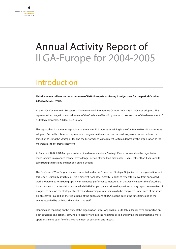## Annual Activity Report of ILGA-Europe for 2004-2005

### Introduction

**This document reflects on the experience of ILGA-Europe in achieving its objectives for the period October 2004 to October 2005.**

At the 2004 Conference in Budapest, a Conference Work Programme October 2004 - April 2006 was adopted. This represented a change in the usual format of the Conference Work Programme to take account of the development of a Strategic Plan 2005-2008 for ILGA-Europe.

This report then is an interim report in that there are still 6 months remaining in the Conference Work Programme as adopted. Secondly, this report represents a change from the model used in previous years so as to continue the transition to using the Strategic Plan and the Performance Management System adopted by the organisation as the mechanisms to co-ordinate its work.

At Budapest 2004, ILGA-Europe introduced the development of a Strategic Plan so as to enable the organisation move forward in a planned manner over a longer period of time than previously - 3 years rather than 1 year, and to take strategic directions and not only annual actions.

The Conference Work Programme was presented under the 6 proposed Strategic Objectives of the organisation, and this report is similarly structured. This is different from other Activity Reports to reflect the move from annualised work programmes to a strategic plan with identified performance indicators. In this Activity Report therefore, there is an overview of the conditions under which ILGA-Europe operated since the previous activity report, an overview of progress to date on the strategic objectives and a naming of what remains to be completed under each of the strategic objectives. In addition there is a listing of the publications of ILGA-Europe during the time frame and of the events attended by both Board members and staff.

Planning and reporting on the work of the organisation in this way enables us to take a longer term perspective on both strategies and actions, carrying projects forward into the next time period and giving the organisation a more appropriate time span for effective attainment of outcomes and impact.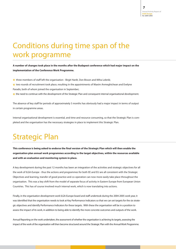### Conditions during time span of the work programme

#### **A number of changes took place in the months after the Budapest conference which had major impact on the implementation of the Conference Work Programme.**

**\*** three members of staff left the organisation - Birgit Hardt, Don Bisson and Miha Lobnik;

- **\*** two rounds of recruitment took place, resulting in the appointments of Maxim Anmeghichean and Evelyne Paradis, both of whom joined the organisation in September;
- **\*** the need to continue with the development of the Strategic Plan and consequent internal organisational development.

The absence of key staff for periods of approximately 5 months has obviously had a major impact in terms of output in certain programme areas.

Internal organisational development is essential, and time and resource consuming, so that the Strategic Plan is completed and the organisation has the necessary strategies in place to implement this Strategic Plan.

### Strategic Plan

**This conference is being asked to endorse the final version of the Strategic Plan which will then enable the organisation plan annual work programmes according to the target objectives, within the resources available and with an evaluation and monitoring system in place.**

A key development during the past 12 months has been an integration of the activities and strategic objectives for all the work of ILGA-Europe - thus the actions and programmes for both EE and EU are all consistent with the Strategic Objectives and learning, transfer of good practice and co-operation can now more easily take place throughout the organisation. This was a key shift from the model of separate focus of activity in Eastern Europe from European Union Countries. This has of course involved much internal work, which is now translating into actions.

Finally, in the organisation development work ILGA-Europe board and staff undertook during the 2004-2005 work year, it was identified that the organisation needs to look at Key Performance Indicators so that we can set targets for the six strategic objectives and identify Performance Indicators for these targets. With these the organisation will be in a position to assess the impact of its work, in addition to being able to identify the more concrete outcomes and outputs of the work.

Annual Reporting on the work undertaken, the assessment of whether the organisation is achieving its targets, assessing the impact of the work of the organisation will then become structured around the Strategic Plan with the Annual Work Programme.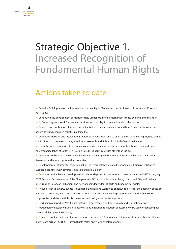## Strategic Objective 1. Increased Recognition of Fundamental Human Rights

#### Actions taken to date

**\*** Capacity Building session on International Human Rights Mechanisms, Institutions and Instruments, Krakow in April, 2005;

**\*** Continuing the development of model of Hate Crimes Monitoring Mechanism for use by our members and in lobby/reporting work to all European Institutions, and possibly in conjunction with other actors;

**\*** Research and publication of report on criminalisation of same-sex relations and how EU mechanisms can be utilised to bring change in countries outside EU;

**\*** Continued lobbying and interventions at European Parliament and OSCE in relation to human rights, hate crimes, criminalisation of same sex activity, freedom of assembly and right to hold Pride/Tolerance Parades;

**\*** Using the implementation of Copenhagen criteria for candidate countries, Neighbourhood Policy and Trade Agreements to lobby at EU level in relation to LGBT rights in countries other than EU 25;

**\*** Continued lobbying of the European Parliament and European Union Presidencies in relation to the Brazilian Resolution and human rights in third countries;

**\*** Development of strategy for targeting actions in terms of lobbying at all European Institutions in relation to European countries with adverse legislation and social policy;

**\*** Continued and enhanced development of relationships within institutions to raise awareness of LGBT issues, e.g. OSCE Personal Representative of the Chairperson in Office on pride parades being obstructed, Gay and Lesbian InterGroup of European Parliament and network of independent experts on fundamental rights;

**\*** Active presence at OSCE events - in Cordoba, Brussels and Warsaw to continue to press for the adoption of the definition of hate crimes, which includes sexual orientation, and in developing cop-operations with other NGO's to progress the model of multiple discrimination and taking a horizontal approach;

\* Production of report on Max Planck Institute's legal research on transsexuality and international law;

**\*** Production of dossier of human rights violations in relation to freedom of assembly to be used for lobbying purposes in all European Institutions;

**\*** Enhanced contact and potential co-operations between ILGA-Europe and International Gay and Lesbian Human Rights Commission (IGLHRC), Human Rights Watch and Amnesty International;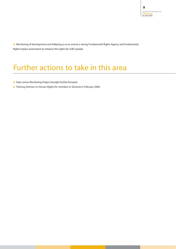**\*** Monitoring of development and lobbying so as to ensure a strong Fundamental Rights Agency and fundamental Rights Impact assessment to enhance the rights for LGBT people.

### Further actions to take in this area

**\*** Hate crimes Monitoring Project brought further forward;

**\*** Training Seminar on Human Rights for members in Slovenia in February 2006.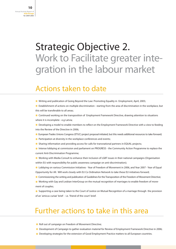## Strategic Objective 2. Work to Facilitate greater integration in the labour market

#### Actions taken to date

**\*** Writing and publication of Going Beyond the Law: Promoting Equality in Employment, April, 2005;

**\*** Establishment of actions on multiple discrimination - starting from the area of discrimination in the workplace, but this will be transferable to all areas;

**\*** Continued working on the transposition of Employment Framework Directive, drawing attention to situations where it is incomplete - e.g Latvia;

**\*** Developing a model to enable members to reflect on the Employment Framework Directive with a view to feeding into the Review of the Directive in 2006;

- **\*** European Trades Unions Congress (ETUC) project proposal initiated, but this needs additional resources to take forward;
- \* Participation at diversity in the workplace conferences and events;
- \* Sharing information and providing access for calls for transnational partners in EQUAL projects;
- **\*** Intense lobbying at commission and parliament on PROGRESS the Community Action Programme to replace the current Anti-Discrimination Programme;
- **\*** Working with Media Consult to enhance their inclusion of LGBT issues in their national campaigns (Organisation within EU with responsibility for public awareness campaign on anti-discrimination);
- **\*** Lobbying on various Commission Initiatives Year of Freedom of Movement in 2006, and Year 2007 Year of Equal Opportunity for All. Will work closely with EU Co Ordination Network to take these EU initiatives forward;
- **\*** Commissioning the writing and publication of Guidelines for the Transposition of the Freedom of Movement Directive;
- **\*** Working with Gay and Lesbian InterGroup on the mutual recognition of marriages to enable freedom of movement of couples;
- **\*** Supporting a case being taken to the Court of Justice on Mutual Recognition of a marriage through the provision of an 'amicus curiae' brief - i.e. 'friend of the court' brief.

- **\*** Roll out of campaign on Freedom of Movement Directive;
- **\*** Development of Campaign to gather evaluation material for Review of Employment Framework Directive in 2006;
- **\*** Developing strategies for the extension of Good Employment Practice matters to all European countries.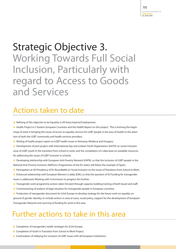## Strategic Objective 3. Working Towards Full Social Inclusion, Particularly with regard to Access to Goods and Services

### Actions taken to date

**\*** Refining of this objective to be Equality in All Areas beyond Employment;

**\*** Health Project in 5 Eastern European Countries and the Health Report on this project. This is forming the beginnings of work in bringing the issues of access to equality services for LGBT people in the area of health to the attention of both the LGBT community and health services providers;

**\*** Writing of health project report on LGBT health issues in Romania, Moldova and Hungary;

**\*** Development of joint project with International Gay and Lesbian Youth Organisation (IGLYO) on social inclusion issue of LGBT youth in the transition from school to work, and the compilation of a data base on available resources for addressing the issues of LGBT inclusion in schools;

**\*** Developing relationship with European Anti-Poverty Network (EAPN), so that the inclusion of LGBT people in the National Anti-Poverty Inclusion (NAPsinc) Programmes of the EU states will follow the example of Spain;

- **\*** Participation at UK Presidency of EU Roundtable on Social Inclusion on the issues of Transitions from School to Work;
- **\*** Enhanced relationship with European Women's Lobby (EWL) so that the question of EU funding for transgender issues is addressed. Meeting with Commission to progress this further;
- **\*** Transgender work programme actions taken forward through capacity building training of both board and staff;
- **\*** Commissioning of analysis of legal situation for transgender people in European countries;

**\*** Production of transgender document for ILGA-Europe to develop strategy for the future work on equality on ground of gender identity, to include actions in area of cases, social policy, support for the development of European Transgender Network and sourcing of funding for work in this area.

- **\*** Completion of transgender, health strategies for ILGA-Europe;
- **\*** Completion of Youth in Transition from School to Work Project;
- **\*** Continuation of lobbying for inclusion of LGBT issues with all European Institutions.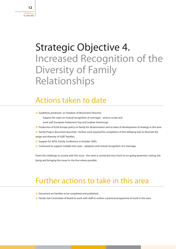## Strategic Objective 4. Increased Recognition of the Diversity of Family Relationships

### Actions taken to date

- **\*** Guidelines produced on Freedom of Movement Directive Support for cases on mutual recognition of marriages - amicus curiae and work with European Parliament Gay and Lesbian InterGroup;
- **\*** Production of ILGA-Europe policy on family for dissemination and as basis of development of strategy in this area
- **\*** Family Project document launched further work required for completion of this lobbying tool to illustrate the range and diversity of LGBT families;
- **\*** Support for APGL Family Conference in October 2005;
- **\*** Continued to support suitable test cases adoption and mutual recognition of a marriage.

Given the challenge to society with this issue - the work is connected very much to on-going awareness raising, lobbying and bringing the issues to the fore where possible.

- **\*** Document on Families to be completed and published;
- **\*** Family Sub-Committee of Board to work with staff to outline a practical programme of work in this area.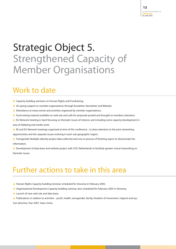## Strategic Object 5. Strengthened Capacity of Member Organisations

#### Work to date

- **\*** Capacity building seminars on Human Rights and Fundraising;
- **\*** On-going support to member organisations through Euroletter, Newsletter and Website;
- **\*** Attendance at many events and activities organised by member organisations;
- **\*** Fund-raising material available on web-site and calls for proposals posted and brought to members attention;
- **\*** EU Network meeting in April focusing on thematic issues of interest, and including some capacity development in area of lobbying and media work;
- **\*** EE and EU Network meetings organised at time of this conference to draw attention to the joint networking

opportunities and the separate issues evolving in each sub-geographic region;

**\*** Transgender Multiple identity project data collected and now in process of finishing report to disseminate the information;

**\*** Development of data-base and website project with COC Netherlands to facilitate greater virtual networking on thematic issues.

- **\*** Human Rights Capacity building Seminar scheduled for Slovenia in February 2005;
- **\*** Organisational Development Capacity building seminar, also scheduled for February 2005 in Slovenia;
- **\*** Launch of new web-site and data base;
- **\*** Publications in relation to activities youth, health, transgender, family, freedom of movement, migrant and asylum directive, Year 2007, hate crimes.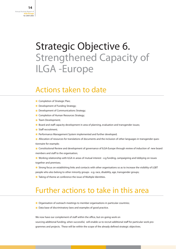## Strategic Objective 6. Strengthened Capacity of ILGA -Europe

#### Actions taken to date

- **\*** Completion of Strategic Plan;
- **\*** Development of Funding Strategy;
- **\*** Development of Communications Strategy;
- **\*** Completion of Human Resources Strategy;
- **\*** Team Development;
- **\*** Board and staff capacity development in area of planning, evaluation and transgender issues;
- **\*** Staff recruitment;
- \* Performance Management System implemented and further developed;
- \* Allocation of resources for translations of documents and the inclusion of other languages in transgender questionnaire for example;
- **\*** Constitutional Review and development of governance of ILGA-Europe through review of induction of new board members and staff to the organisation;
- **\*** Working relationship with ILGA in areas of mutual interest e.g funding, campaigning and lobbying on issues together and premises;
- **\*** Strong focus on establishing links and contacts with other organisations so as to increase the visibility of LGBT people who also belong to other minority groups - e.g. race, disability, age, transgender groups;
- **\*** Taking of theme at conference the issue of Multiple Identities.

### Further actions to take in this area

- \* **X** Organisation of outreach meetings to member organisations in particular countries;
- **\*** Data base of discriminatory laws and examples of good practice.

We now have our complement of staff within the office, but on-going work on sourcing additional funding, when successful, will enable us to recruit additional staff for particular work pro-

grammes and projects. These will be within the scope of the already defined strategic objectives.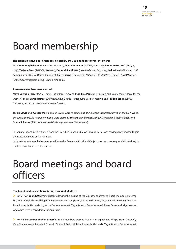## Board membership

#### **The eight Executive Board members elected by the 2004 Budapest conference were:**

**Maxim Anmeghichean** (*Gender-Doc*, Moldova), **Vera Cimpenau** (*ACCEPT*, Romania), **Riccardo Gottardi** (*Arcigay*, Italy), **Tatjana Greif** (*SKUC-LL*, Slovenia), **Deborah Labillotte** (*Holebifederatie*, Belgium), **Jackie Lewis** (*National LGBT Committee of UNISON*, United Kingdom), **Pierre Serne** (*Commission National LGBT des Verts*, France), **Nigel Warner** (*Stonewall Immigration Group*, United Kingdom).

#### **As reserve members were elected:**

**Maya Salvado Ferrer** (*APGL*, France), as first reserve, and **Inge-Lise Paulsen** (*LBL*, Denmark), as second reserve for the women's seats; **Vanja Hamzic** (*Q Organisation*, Bosnia Herzegovina), as first reserve, and **Philipp Braun** (*LSVD*, Germany), as second reserve for the men's seats.

**Jackie Lewis** and **Yves De Matteis** (*360°*, Swiss) were re-elected as ILGA-Europe's representatives on the ILGA-World Executive Board. As reserve members were elected **Janfrans van der EERDEN** (*COC Nederland*, Netherlands) and **Grade Schadee** (*AOb Homoseksueel Onderwijspersoneel*, Netherlands).

In January Tatjana Greif resigned from the Executive Board and Maya Salvado Ferrer was consequently invited to join the Executive Board as full member.

In June Maxim Anmeghichean resigned from the Executive Board and Vanja Hamzic was consequently invited to join the Executive Board as full member.

## Board meetings and board officers

#### **The Board held six meetings during its period of office:**

> on 31 October 2004, immediately following the closing of the Glasgow conference. Board members present: Maxim Anmeghichean, Phillip Braun (reserve), Vera Cimpeanu, Riccardo Gottardi, Vanja Hamzic (reserve), Deborah Lambillotte, Jackie Lewis, Inge-Lise Paulsen (reserve), Maya Salvado Ferrer (reserve), Pierre Serne and Nigel Warner. Apologies were received from Tatjana Greif.

**> on 4-5 December 2004 in Brussels.** Board members present: Maxim Anmeghichean, Philipp Braun (reserve), Vera Cimpeanu (on Saturday), Riccardo Gottardi, Deborah Lambillotte, Jackie Lewis, Maya Salvado Ferrer (reserve)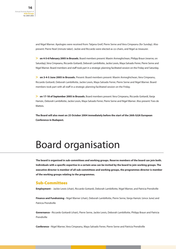and Nigel Warner. Apologies were received from: Tatjana Greif, Pierre Serne and Vera Cimpeanu (for Sunday). Also present: Pierre Noel (minute taker). Jackie and Riccardo were elected as co-chairs, and Nigel as treasurer.

**> on 4-5-6 February 2005 in Brussels.** Board members present: Maxim Anmeghichean, Philipp Braun (reserve, on Saturday), Vera Cimpeanu, Riccardo Gottardi, Deborah Lambillotte, Jackie Lewis, Maya Salvado Ferrer, Pierre Serne and Nigel Warner. Board members and staff took part in a strategic planning facilitated session on the Friday and Saturday.

**> on 3-4-5 June 2005 in Brussels.** Present: Board members present: Maxim Anmeghichean, Vera Cimpeanu, Riccardo Gottardi, Deborah Lambillotte, Jackie Lewis, Maya Salvado Ferrer, Pierre Serne and Nigel Warner. Board members took part with all staff in a strategic planning facilitated session on the Friday.

**> on 17-18 of September 2005 in Brussels.** Board members present: Vera Cimpeanu, Riccardo Gottardi, Vanja Hamzic, Deborah Lambillotte, Jackie Lewis, Maya Salvado Ferrer, Pierre Serne and Nigel Warner. Also present: Yves de **Matteis** 

**The Board will also meet on 25 October 2004 immediately before the start of the 26th ILGA European Conference in Budapest.**

## Board organisation

**The board is organised in sub-committees and working groups. Reserve members of the board can join both. Individuals with a specific expertise in a certain area can be invited by the board to join working groups. The executive director is member of all sub-committees and working groups, the programmes director is member of the working groups relating to the programmes.** 

#### **Sub-Committees**

**Employment -** Jackie Lewis (chair), Riccardo Gottardi, Deborah Lambillotte, Nigel Warner, and Patricia Prendiville

**Finance and Fundraising -** Nigel Warner (chair), Deborah Lambillotte, Pierre Serne, Vanja Hamzic (since June) and Patricia Prendiville

**Governance -** Riccardo Gottardi (chair), Pierre Serne, Jackie Lewis, Deborah Lambillotte, Philipp Braun and Patricia Prendiville

**Conference -** Nigel Warner, Vera Cimpeanu, Maya Salvado Ferrer, Pierre Serne and Patricia Prendiville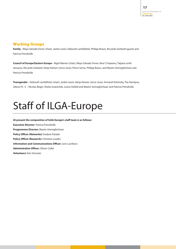#### **Working Groups**

**Family -** Maya Salvado Ferrer (chair), Jackie Lewis, Deborah Lambillotte, Philipp Braun, Riccardo Gottardi (guest) and Patricia Prendiville

**Council of Europe/Eastern Europe -** Nigel Warner (chair), Maya Salvado Ferrer, Vera C?mpeanu, Tatjana (until January), Riccardo Gottardi, Vanja Hamzic (since June), Pierre Serne, Philipp Braun, and Maxim Anmeghichean and Patricia Prendiville

**Transgender -** Deborah Lambillotte (chair), Jackie Lewis, Vanja Hamzic (since June), Armand Hotimsky, Tiia Aarnipuu, Jelena Po ti , Nicolas Beger, Sheila Swatschek, Justus Eisfeld and Maxim Anmeghichean and Patricia Prendiville.

## Staff of ILGA-Europe

**At present the composition of ILGA-Europe's staff team is as follows: Executive Director:** Patricia Prendiville **Programmes Director:** Maxim Anmeghichean **Policy Officer (Networks):** Evelyne Paradis **Policy Officer (Research):** Christine Loudes **Information and Communications Officer:** Juris Lavrikovs **Administrative Officer:** Olivier Collet **Volunteers:** Kim Smouter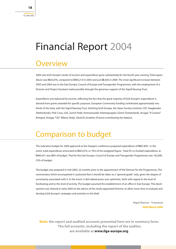## Financial Report 2004

### **Overview**

2004 saw ILGA-Europe's levels of income and expenditure grow substantially for the fourth year running. Total expenditure was 663,076, compared to 485,214 in 2003 and just 8,506 in 2000. The most significant increase between 2003 and 2004 was in the East Europe, Council of Europe and Transgender Programmes, with the employment of a Director and Project Assistant made possible through the generous support of the Sigrid Rausing Trust.

Expenditure was balanced by income, reflecting the fact that the great majority of ILGA-Europe's expenditure is derived from grants awarded for specific purposes. European Community funding contributed approximately two thirds of the total, with the Sigrid Rausing Trust, Stichting ILGA-Europe, the Open Society Institute, COC Haaglanden (Netherlands), Pink Cross, LOS, Zurich Pride, Homosexuelle Arbeitsgruppen Zürich (Switzerland), Arcigay "Il Cassero" Bologna, Arcigay "CIG" Milano (Italy), David & Jonathan (France) contributing the balance.

### Comparison to budget

The indicative budget for 2004 approved at the Glasgow conference proposed expenditure of 867,893. In the event, total expenditure amounted to 663,076, or 76% of the budgeted figure. Total EU co-funded expenditure, at 484,431 was 88% of budget. That for the East Europe, Council of Europe and Transgender Programmes was 162,690, 53% of budget.

The budget was prepared in mid-2003, six months prior to the appointment of the Director for the Programmes. The commentary which accompanied it cautioned that it should be taken as a "general guide" only, given the degree of uncertainty associated with it. In the event, it did indeed prove over optimistic, both with regard to the level of fundraising and to the level of activity. The budget assumed the establishment of an office in East Europe. This development was shelved in early 2004 on the advice of the newly appointed Director, to allow more time to evaluate and develop ILGA-Europe's strategies and activities in this field.

> **Nigel Warner - Treasurer 20th March 2005**

**Note: the report and audited accounts presented here are in summary form. The full accounts, including the report of the auditor, are available at www.ilga-europe.org.**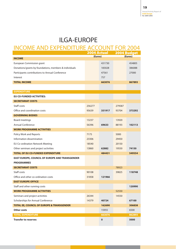#### ILGA-EUROPE

#### INCOME AND EXPENDITURE ACCOUNT FOR 2004

|                                                        | <b>2004 Actual</b> |        | <b>2004 Budget</b> |        |
|--------------------------------------------------------|--------------------|--------|--------------------|--------|
| <b>INCOME</b>                                          | (Euros)            |        | (Euros)            |        |
| European Commission grant                              |                    | 431730 |                    | 454805 |
| Donations/grants by foundations, members & individuals |                    | 183028 |                    | 386088 |
| Participants contributions to Annual Conference        |                    | 47561  |                    | 27000  |
| Interest                                               |                    | 757    |                    |        |
| <b>TOTAL INCOME</b>                                    |                    | 663076 |                    | 867893 |
|                                                        |                    |        |                    |        |
| <b>EXPENDITURE</b>                                     |                    |        |                    |        |
| <b>EU CO-FUNDED ACTIVITIES:</b>                        |                    |        |                    |        |
| <b>SECRETARIAT COSTS</b>                               |                    |        |                    |        |
| Staff costs                                            | 256277             |        | 279587             |        |
| Office and coordination costs                          | 95639              | 351917 | 93704              | 373292 |
| <b>GOVERNING BODIES</b>                                |                    |        |                    |        |
| Board meetings                                         | 13237              |        | 13920              |        |
| Annual Conference                                      | 56396              | 69633  | 88193              | 102113 |
| <b>WORK PROGRAMME ACTIVITIES</b>                       |                    |        |                    |        |
| Policy Work and Reports                                | 7175               |        | 5000               |        |
| Information dissemination                              | 23306              |        | 29450              |        |
| EU Co-ordination Network Meeting                       | 18540              |        | 20150              |        |
| Other seminars and project activities                  | 13860              | 62882  | 19550              | 74150  |
| <b>TOTAL OF EU CO-FUNDED EXPENDITURE</b>               |                    | 484431 |                    | 549554 |
| <b>EAST EUROPE, COUNCIL OF EUROPE AND TRANSGENDER</b>  |                    |        |                    |        |
| <b>PROGRAMMES</b>                                      |                    |        |                    |        |
| <b>SECRETARIAT COSTS</b>                               |                    |        | 78923              |        |
| Staff costs                                            | 90108              |        | 39825              | 118748 |
| Office and other co-ordination costs                   | 31858              | 121966 |                    |        |
| <b>EAST EUROPE OFFICE</b>                              |                    |        |                    |        |
| Staff and other running costs                          |                    |        |                    | 120990 |
| <b>WORK PROGRAMME ACTIVITIES</b>                       |                    |        | 52550              |        |
| Seminars and project activities                        | 26344              |        | 14550              |        |
| Scholarships for Annual Conference                     | 14379              | 40724  |                    | 67100  |
| <b>TOTAL EE, COUNCIL OF EUROPE &amp; TRANSGENDER</b>   |                    | 162690 |                    | 306838 |
| Other costs                                            |                    | 15955  |                    | 6500   |
| <b>TOTAL EXPENDITURE</b>                               |                    | 663076 |                    | 862893 |
| <b>Transfer to reserves</b>                            |                    | 0      |                    | 5000   |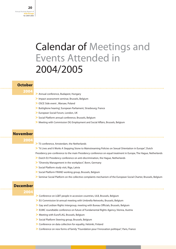## Calendar of Meetings and Events Attended in 2004/2005

#### **October**

**2004**

- **>** Annual conference, Budapest, Hungary
- **>** Impact assessment seminar, Brussels, Belgium
- **>** OSCE Side event , Warsaw, Poland
- **>** Buttiglione hearing', European Parliament, Strasbourg, France
- **>** European Social Forum, London, UK
- **>** Social Platform annual conference, Brussels, Belgium
- **>** Meeting with Commission DG Employment and Social Affairs, Brussels, Belgium

#### **November**

**2004**

- **>** T3 conference, Amsterdam, the Netherlands
- **>** "It Lives and It Works A Stepping Stone to Mainstreaming Policies on Sexual Orientation in Europe", Dutch

Presidency pre-conference to the main Presidency conference on equal treatment in Europe, The Hague, Netherlands

- **>** Dutch EU Presidency conference on anti-discrimination, the Hague, Netherlands
- **>** "Diversity Management in the workplace", Bonn, Germany
- **>** Social Platform study visit, Riga, Latvia
- **>** Social Platform FRAND working group, Brussels, Belgium
- **>** Seminar Social Platform on the collective complaints mechanism of the European Social Charter, Brussels, Belgium

#### **December**

**2004**

- **>** Conference on LGBT people in accession countries, ULB, Brussels, Belgium
- **>** EU Commission bi-annual meeting with Umbrella Networks, Brussels, Belgium
- **>** Gay and Lesbian Rights Intergroup, meeting with Bureau Officials, Brussels, Belgium
- **>** EUMC roundtable conference on future of Fundamental Rights Agency, Vienna, Austria
- **>** Meeting with EuroFLAG, Brussels, Belgium
- **>** Social Platform Steering group, Brussels, Belgium
- **>** Conference on data collection for equality, Helsinki, Finland
- **>** Conference on new forms of family "Foundation pour l'innovation politique", Paris, France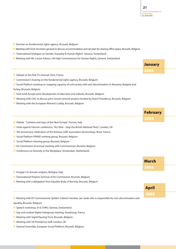**January**

**2005**

**April**

**2005**

- **>** Seminar on fundamental rights agency, Brussels, Belgium
- **>** Meeting with ILGA Secretary general to discuss accommodation and set plan for sharing office space, Brussels, Belgium
- **>** "International Dialogue on Gender, Sexuality & Human Rights", Geneva, Switzerland
- **>** Meeting with Ms. Louise Arbour, UN High Commissioner for Human Rights, Geneva, Switzerland
- **>** Debate at the Pink TV channel, Paris, France
- **>** Commission's hearing on the fundamental rights agency, Brussels, Belgium
- **>** Social Platform meeting on mapping capacity of civil society with anti-discrimination in Romania, Bulgaria and

#### Turkey, Brussels, Belgium

- **>** ILGA-ILGA-Europe joint development of data base and website, Brussels, Belgium
- **>** Meeting with COC to discuss joint virtual network projects funded by Dutch Presidency, Brussels, Belgium
- **>** Meeting with the European Women's Lobby, Brussels, Belgium

|                                                              | <b>February</b> |  |
|--------------------------------------------------------------|-----------------|--|
|                                                              | 2005            |  |
| Debate "Lesbians and Gays of the New Europe", Ferrara, Italy |                 |  |

- **>** Unite against Fascism conference, "Act Now Stop the British National Party", London, UK
- **>** 5th anniversary celebration of the Brittany LGBT association (ActionsGay), Brest, France
- **>** Social Platform FRAND working group, Brussels, Belgium
- **>** Social Platform Steering group, Brussels, Belgium
- **>** EU Commission bi-annual meeting with Commissioner, Brussels, Belgium
- **>** Conference on Diversity in the Workplace, Amsterdam, Netherlands

|                                                 | <b>March</b> |  |
|-------------------------------------------------|--------------|--|
|                                                 | 2005         |  |
| > Arcigay's tri-annual congress, Bologna, Italy |              |  |

- **>** Transnational Projects Seminar of EU Commission, Brussels, Belgium
- **>** Meeting with a delegation from Equality Body of Norway, Brussels, Belgium
- 

**>** Meeting with EU Commissioner Spilda's Cabinet member Jan Jarab who is responsible for non-discrimination and equality, Brussels, Belgium

- **>** Speech workshop, 61st CHRU, Geneva, Switzerland
- **>** Gay and Lesbian Rights Intergroup meeting, Strasbourg, France
- **>** Meeting with Sigrid Rausing Trust, Brussels, Belgium
- **>** Meeting with UK Presidency staff, London, UK
- **>** General Assembly, European Social Platform, Brussels, Belgium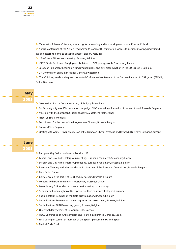**>** "Culture for Tolerance" festival, human rights monitoring and fundraising workshops, Krakow, Poland

**>** Annual conference of the Action Programme to Combat Discrimination "Access to Justice: Knowing, understanding and asserting rights to equal treatment", Lisbon, Portugal

- **>** ILGA-Europe EU Network meeting, Brussels, Belgium
- **>** IGLYO Study Session on Bullying and Isolation of LGBT young people, Strasbourg, France
- **>** European Parliament hearing on fundamental rights and anti-discrimination in the EU, Brussels, Belgium
- **>** UN Commission on Human Rights, Geneva, Switzerland

**>** "Our Children, inside society and not outside" - Biannual conference of the German Parents of LGBT group (BEFAH), Berlin, Germany

#### **May 2005**

- **>** Celebrations for the 20th anniversary of Arcigay, Rome, Italy
- **>** For Diversity Against Discrimination campaign, EU Commission's Journalist of the Year Award, Brussels, Belgium
- **>** Meeting with the European Studies students, Maastricht, Netherlands
- **>** Pride, Chisinau, Moldova
- **>** Recruitment for the post of the Programmes Director, Brussels, Belgium
- **>** Brussels Pride, Belgium
- **>** Meeting with Werner Hoyer, chairperson of the European Liberal Democrat and Reform (ELDR) Party, Cologne, Germany

#### **June 2005**

- **>** European Gay Police conference, London, UK
- **>** Lesbian and Gay Rights Intergroup meeting, European Parliament, Strasbourg, France
- **>** Lesbian and Gay Rights Intergroup meeting, European Parliament, Brussels, Belgium
- **>** Bi-annual Meeting with the anti-discrimination Unit of the European Commission, Brussels, Belgium
- **>** Paris Pride, France
- **>** Conference on the status of LGBT asylum seekers, Brussels, Belgium
- **>** Meeting with staff from Finnish Presidency, Brussels, Belgium
- **>** Luxembourg EU Presidency on anti-discrimination, Luxembourg
- **>** Seminar on human rights of LGBT people in third countries, Cologne, Germany
- **>** Social Platform Seminar on multiple discrimination, Brussels, Belgium
- **>** Social Platform Seminar on human rights impact assessment, Brussels, Belgium
- **>** Social Platform FRAND working group, Brussels, Belgium
- **>** Queer Solidarity events at Europride, Oslo, Norway
- **>** OSCE Conference on Anti-Semitism and Related Intolerance, Cordoba, Spain
- **>** Final voting on same-sex marriage at the Spain's parliament, Madrid, Spain
- **>** Madrid Pride, Spain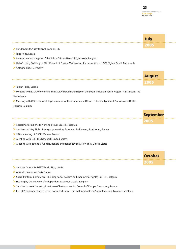|                                                                                                                  | <b>July</b>      |  |
|------------------------------------------------------------------------------------------------------------------|------------------|--|
|                                                                                                                  | 2005             |  |
| > London Unite, 'Rise' festival, London, UK                                                                      |                  |  |
| > Riga Pride, Latvia                                                                                             |                  |  |
| > Recruitment for the post of the Policy Officer (Networks), Brussels, Belgium                                   |                  |  |
| > ReLAP Lobby Training on EU / Council of Europe Mechanisms for promotion of LGBT Rights, Ohrid, Macedonia       |                  |  |
| > Cologne Pride, Germany                                                                                         |                  |  |
|                                                                                                                  | <b>August</b>    |  |
|                                                                                                                  | 2005             |  |
| > Tallinn Pride, Estonia                                                                                         |                  |  |
| > Meeting with IGLYO concerning the IGLYO/ILGA Partnership on the Social Inclusion-Youth Project, Amsterdam, the |                  |  |
| Netherlands                                                                                                      |                  |  |
| > Meeting with OSCE Personal Representative of the Chairman in Office, co-hosted by Social Platform and ODIHR,   |                  |  |
| Brussels, Belgium                                                                                                |                  |  |
|                                                                                                                  |                  |  |
|                                                                                                                  | <b>September</b> |  |
|                                                                                                                  | 2005             |  |
| > Social Platform FRAND working group, Brussels, Belgium                                                         |                  |  |
| > Lesbian and Gay Rights Intergroup meeting, European Parliament, Strasbourg, France                             |                  |  |
| > HDIM meeting of OSCE, Warsaw, Poland                                                                           |                  |  |
| > Meeting with LGLHRC, New York, United States                                                                   |                  |  |
| > Meeting with potential funders, donors and donor advisers, New York, United States                             |                  |  |
|                                                                                                                  |                  |  |
|                                                                                                                  | <b>October</b>   |  |
|                                                                                                                  | 2005             |  |
| > Seminar "Youth for LGBT Youth, Riga, Latvia                                                                    |                  |  |

- **>** Annual conference, Paris France
- > Social Platform Conference: "Building social policies on fundamental rights", Brussels, Belgium
- **>** Hearing by the network of independent experts, Brussels, Belgium
- **>** Seminar to mark the entry into force of Protocol No. 12, Council of Europe, Strasbourg, France
- **>** EU UK Presidency conference on Social Inclusion: Fourth Roundtable on Social Inclusion, Glasgow, Scotland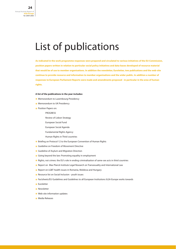## List of publications

**As indicated in the work programme responses were prepared and circulated to various initiatives of the EU Commission, position papers written in relation to particular social policy initiatives and data-bases developed of resource material that would be of use to member organisations. In addition the newsletter, Euroletter, two publications and the web-site continue to provide resource and information to member organisations and the wider public. In addition a number of responses to European Parliament Reports were made and amendments proposed - in particular in the area of human rights.**

#### **A list of the publications in the year includes:**

- **\*** Memorandum to Luxembourg Presidency
- **\*** Memorandum to UK Presidency
- **\*** Position Papers on:
	- PROGRESS
		- Review of Lisbon Strategy
		- European Social Fund
		- European Social Agenda
		- Fundamental Rights Agency
		- Human Rights in Third countries
- **\*** Briefing on Protocol 12 to the European Convention of Human Rights
- **\*** Guideline on Freedom of Movement Directive
- **\*** Guideline of Asylum and Migration Direction
- **\*** Going beyond the law: Promoting equality in employment
- **\*** Rights, not crimes: the EU's role in ending criminalisation of same-sex acts in third countries
- **\*** Report on Max Planck Institute Legal Research on Transexuality and International Law
- **\*** Report on LGBT health issues in Romania, Moldova and Hungary
- **\*** Resource list on Social Inclusion youth issues
- **\*** Factsheets/EU Guidelines and Guidelines to all European Institutions ILGA-Europe works towards
- **\*** Euroletter
- **\*** Newsletter
- **\*** Web-site information updates
- **\*** Media Releases